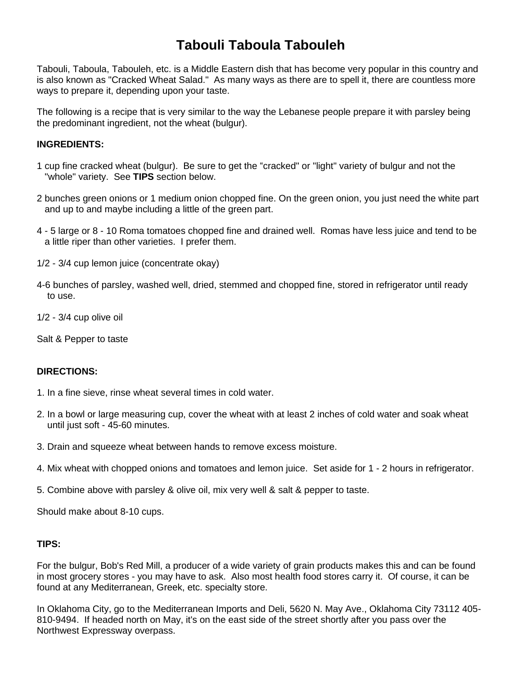# **Tabouli Taboula Tabouleh**

Tabouli, Taboula, Tabouleh, etc. is a Middle Eastern dish that has become very popular in this country and is also known as "Cracked Wheat Salad." As many ways as there are to spell it, there are countless more ways to prepare it, depending upon your taste.

The following is a recipe that is very similar to the way the Lebanese people prepare it with parsley being the predominant ingredient, not the wheat (bulgur).

## **INGREDIENTS:**

- 1 cup fine cracked wheat (bulgur). Be sure to get the "cracked" or "light" variety of bulgur and not the "whole" variety. See **TIPS** section below.
- 2 bunches green onions or 1 medium onion chopped fine. On the green onion, you just need the white part and up to and maybe including a little of the green part.
- 4 5 large or 8 10 Roma tomatoes chopped fine and drained well. Romas have less juice and tend to be a little riper than other varieties. I prefer them.
- 1/2 3/4 cup lemon juice (concentrate okay)
- 4-6 bunches of parsley, washed well, dried, stemmed and chopped fine, stored in refrigerator until ready to use.
- 1/2 3/4 cup olive oil
- Salt & Pepper to taste

## **DIRECTIONS:**

- 1. In a fine sieve, rinse wheat several times in cold water.
- 2. In a bowl or large measuring cup, cover the wheat with at least 2 inches of cold water and soak wheat until just soft - 45-60 minutes.
- 3. Drain and squeeze wheat between hands to remove excess moisture.
- 4. Mix wheat with chopped onions and tomatoes and lemon juice. Set aside for 1 2 hours in refrigerator.
- 5. Combine above with parsley & olive oil, mix very well & salt & pepper to taste.

Should make about 8-10 cups.

### **TIPS:**

For the bulgur, Bob's Red Mill, a producer of a wide variety of grain products makes this and can be found in most grocery stores - you may have to ask. Also most health food stores carry it. Of course, it can be found at any Mediterranean, Greek, etc. specialty store.

In Oklahoma City, go to the Mediterranean Imports and Deli, 5620 N. May Ave., Oklahoma City 73112 405- 810-9494. If headed north on May, it's on the east side of the street shortly after you pass over the Northwest Expressway overpass.